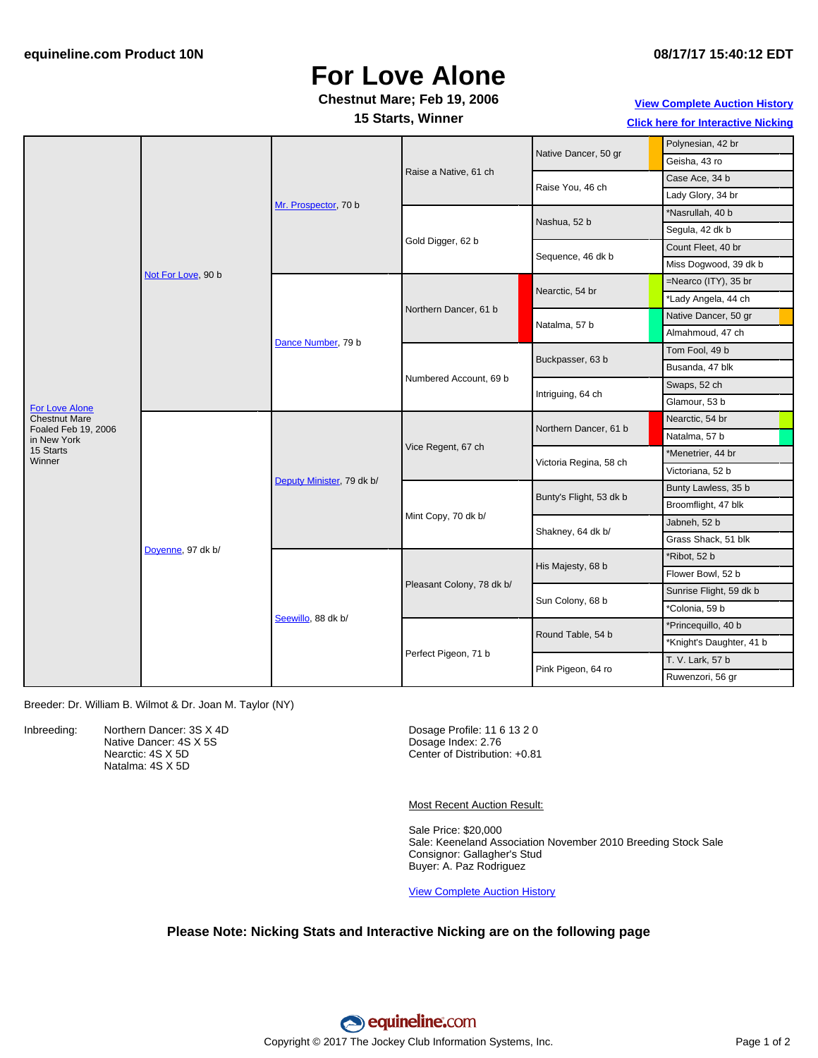## **For Love Alone**

### **Chestnut Mare; Feb 19, 2006**

**15 Starts, Winner**

**View [Complete](http://www.equineline.com/Free-Auction-Results.cfm?upsellReferenceNumber=&upsellHorseName=&upsellBreedType=&upsellHorseType=&upsellYOB=&lookupAuctionResults=true&tempHorseType=&tempSale=ALL&tempYear=ALL&search_type=HORSE&reference_number=7697608&horse_name=Fateful&horse_type=ALL&year=ALL&sale=ALL&consignor_id=&consignor_name=&buyer_id=&buyer_name=&price_range_low=&price_range_high=&availableConsignors=&availableBuyers=&fromFree5CrossPedigree=Y) Auction History**

**Click here for [Interactive](#page-1-0) Nicking**

|                                                               | Not For Love, 90 b | Mr. Prospector, 70 b      | Raise a Native, 61 ch     | Native Dancer, 50 gr    | Polynesian, 42 br        |
|---------------------------------------------------------------|--------------------|---------------------------|---------------------------|-------------------------|--------------------------|
|                                                               |                    |                           |                           |                         | Geisha, 43 ro            |
|                                                               |                    |                           |                           | Raise You, 46 ch        | Case Ace, 34 b           |
|                                                               |                    |                           |                           |                         | Lady Glory, 34 br        |
|                                                               |                    |                           | Gold Digger, 62 b         | Nashua, 52 b            | *Nasrullah, 40 b         |
|                                                               |                    |                           |                           |                         | Segula, 42 dk b          |
|                                                               |                    |                           |                           | Sequence, 46 dk b       | Count Fleet, 40 br       |
|                                                               |                    |                           |                           |                         | Miss Dogwood, 39 dk b    |
| For Love Alone<br><b>Chestnut Mare</b><br>Foaled Feb 19, 2006 |                    | Dance Number, 79 b        | Northern Dancer, 61 b     | Nearctic, 54 br         | =Nearco (ITY), 35 br     |
|                                                               |                    |                           |                           |                         | *Lady Angela, 44 ch      |
|                                                               |                    |                           |                           | Natalma, 57 b           | Native Dancer, 50 gr     |
|                                                               |                    |                           |                           |                         | Almahmoud, 47 ch         |
|                                                               |                    |                           | Numbered Account, 69 b    | Buckpasser, 63 b        | Tom Fool, 49 b           |
|                                                               |                    |                           |                           |                         | Busanda, 47 blk          |
|                                                               |                    |                           |                           | Intriguing, 64 ch       | Swaps, 52 ch             |
|                                                               |                    |                           |                           |                         | Glamour, 53 b            |
|                                                               | Doyenne, 97 dk b/  | Deputy Minister, 79 dk b/ | Vice Regent, 67 ch        | Northern Dancer, 61 b   | Nearctic, 54 br          |
| in New York                                                   |                    |                           |                           |                         | Natalma, 57 b            |
| 15 Starts<br>Winner                                           |                    |                           |                           | Victoria Regina, 58 ch  | *Menetrier, 44 br        |
|                                                               |                    |                           |                           |                         | Victoriana, 52 b         |
|                                                               |                    |                           | Mint Copy, 70 dk b/       | Bunty's Flight, 53 dk b | Bunty Lawless, 35 b      |
|                                                               |                    |                           |                           |                         | Broomflight, 47 blk      |
|                                                               |                    |                           |                           | Shakney, 64 dk b/       | Jabneh, 52 b             |
|                                                               |                    |                           |                           |                         | Grass Shack, 51 blk      |
|                                                               |                    | Seewillo, 88 dk b/        | Pleasant Colony, 78 dk b/ | His Majesty, 68 b       | *Ribot, 52 b             |
|                                                               |                    |                           |                           |                         | Flower Bowl, 52 b        |
|                                                               |                    |                           |                           | Sun Colony, 68 b        | Sunrise Flight, 59 dk b  |
|                                                               |                    |                           |                           |                         | *Colonia, 59 b           |
|                                                               |                    |                           | Perfect Pigeon, 71 b      | Round Table, 54 b       | *Princequillo, 40 b      |
|                                                               |                    |                           |                           |                         | *Knight's Daughter, 41 b |
|                                                               |                    |                           |                           | Pink Pigeon, 64 ro      | T. V. Lark, 57 b         |
|                                                               |                    |                           |                           |                         | Ruwenzori, 56 gr         |

Breeder: Dr. William B. Wilmot & Dr. Joan M. Taylor (NY)

Inbreeding: Northern Dancer: 3S X 4D Native Dancer: 4S X 5S Nearctic: 4S X 5D Natalma: 4S X 5D

Dosage Profile: 11 6 13 2 0 Dosage Index: 2.76 Center of Distribution: +0.81

Most Recent Auction Result:

Sale Price: \$20,000 Sale: Keeneland Association November 2010 Breeding Stock Sale Consignor: Gallagher's Stud Buyer: A. Paz Rodriguez

View [Complete](http://www.equineline.com/Free-Auction-Results.cfm?upsellReferenceNumber=&upsellHorseName=&upsellBreedType=&upsellHorseType=&upsellYOB=&lookupAuctionResults=true&tempHorseType=&tempSale=ALL&tempYear=ALL&search_type=HORSE&reference_number=7697608&horse_name=Fateful&horse_type=ALL&year=ALL&sale=ALL&consignor_id=&consignor_name=&buyer_id=&buyer_name=&price_range_low=&price_range_high=&availableConsignors=&availableBuyers=&fromFree5CrossPedigree=Y) Auction History

### **Please Note: Nicking Stats and Interactive Nicking are on the following page**